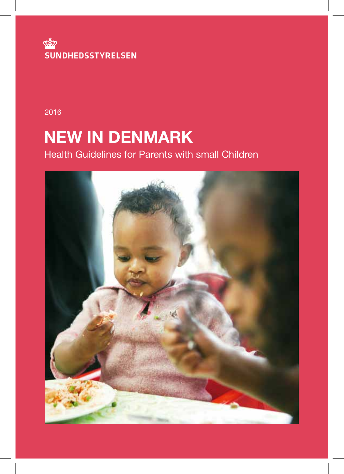

2016

# NEW IN DENMARK

## Health Guidelines for Parents with small Children

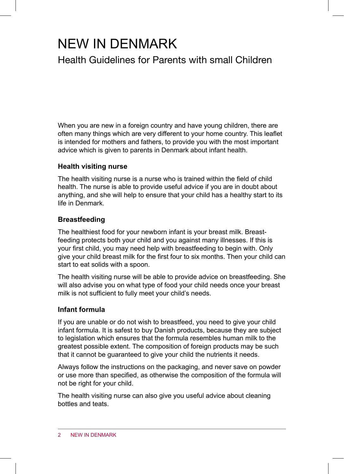## NEW IN DENMARK

### Health Guidelines for Parents with small Children

When you are new in a foreign country and have young children, there are often many things which are very different to your home country. This leaflet is intended for mothers and fathers, to provide you with the most important advice which is given to parents in Denmark about infant health.

#### **Health visiting nurse**

The health visiting nurse is a nurse who is trained within the field of child health. The nurse is able to provide useful advice if you are in doubt about anything, and she will help to ensure that your child has a healthy start to its life in Denmark.

#### **Breastfeeding**

The healthiest food for your newborn infant is your breast milk. Breastfeeding protects both your child and you against many illnesses. If this is your first child, you may need help with breastfeeding to begin with. Only give your child breast milk for the first four to six months. Then your child can start to eat solids with a spoon.

The health visiting nurse will be able to provide advice on breastfeeding. She will also advise you on what type of food your child needs once your breast milk is not sufficient to fully meet your child's needs.

#### **Infant formula**

If you are unable or do not wish to breastfeed, you need to give your child infant formula. It is safest to buy Danish products, because they are subject to legislation which ensures that the formula resembles human milk to the greatest possible extent. The composition of foreign products may be such that it cannot be guaranteed to give your child the nutrients it needs.

Always follow the instructions on the packaging, and never save on powder or use more than specified, as otherwise the composition of the formula will not be right for your child.

The health visiting nurse can also give you useful advice about cleaning bottles and teats.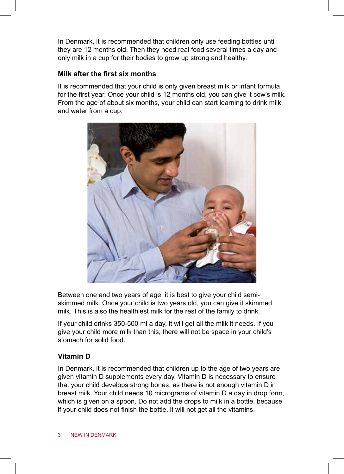In Denmark, it is recommended that children only use feeding bottles until they are 12 months old. Then they need real food several times a day and only milk in a cup for their bodies to grow up strong and healthy.

#### **Milk after the first six months**

It is recommended that your child is only given breast milk or infant formula for the first year. Once your child is 12 months old, you can give it cow's milk. From the age of about six months, your child can start learning to drink milk and water from a cup.



Between one and two years of age, it is best to give your child semiskimmed milk. Once your child is two years old, you can give it skimmed milk. This is also the healthiest milk for the rest of the family to drink.

If your child drinks 350-500 ml a day, it will get all the milk it needs. If you give your child more milk than this, there will not be space in your child's stomach for solid food.

#### **Vitamin D**

In Denmark, it is recommended that children up to the age of two years are given vitamin D supplements every day. Vitamin D is necessary to ensure that your child develops strong bones, as there is not enough vitamin D in breast milk. Your child needs 10 micrograms of vitamin D a day in drop form, which is given on a spoon. Do not add the drops to milk in a bottle, because if your child does not finish the bottle, it will not get all the vitamins.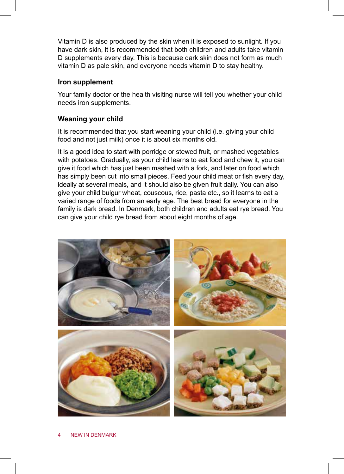Vitamin D is also produced by the skin when it is exposed to sunlight. If you have dark skin, it is recommended that both children and adults take vitamin D supplements every day. This is because dark skin does not form as much vitamin D as pale skin, and everyone needs vitamin D to stay healthy.

#### **Iron supplement**

Your family doctor or the health visiting nurse will tell you whether your child needs iron supplements.

#### **Weaning your child**

It is recommended that you start weaning your child (i.e. giving your child food and not just milk) once it is about six months old.

It is a good idea to start with porridge or stewed fruit, or mashed vegetables with potatoes. Gradually, as your child learns to eat food and chew it, you can give it food which has just been mashed with a fork, and later on food which has simply been cut into small pieces. Feed your child meat or fish every day, ideally at several meals, and it should also be given fruit daily. You can also give your child bulgur wheat, couscous, rice, pasta etc., so it learns to eat a varied range of foods from an early age. The best bread for everyone in the family is dark bread. In Denmark, both children and adults eat rye bread. You can give your child rye bread from about eight months of age.

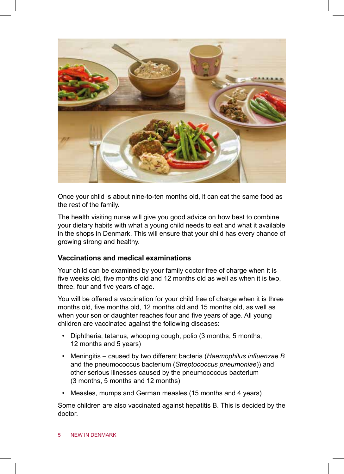

Once your child is about nine-to-ten months old, it can eat the same food as the rest of the family.

The health visiting nurse will give you good advice on how best to combine your dietary habits with what a young child needs to eat and what it available in the shops in Denmark. This will ensure that your child has every chance of growing strong and healthy.

#### **Vaccinations and medical examinations**

Your child can be examined by your family doctor free of charge when it is five weeks old, five months old and 12 months old as well as when it is two, three, four and five years of age.

You will be offered a vaccination for your child free of charge when it is three months old, five months old, 12 months old and 15 months old, as well as when your son or daughter reaches four and five years of age. All young children are vaccinated against the following diseases:

- Diphtheria, tetanus, whooping cough, polio (3 months, 5 months, 12 months and 5 years)
- Meningitis caused by two different bacteria (*Haemophilus influenzae B*  and the pneumococcus bacterium (*Streptococcus pneumoniae*)) and other serious illnesses caused by the pneumococcus bacterium (3 months, 5 months and 12 months)
- Measles, mumps and German measles (15 months and 4 years)

Some children are also vaccinated against hepatitis B. This is decided by the doctor.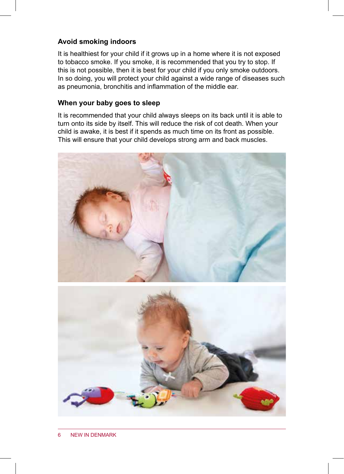#### **Avoid smoking indoors**

It is healthiest for your child if it grows up in a home where it is not exposed to tobacco smoke. If you smoke, it is recommended that you try to stop. If this is not possible, then it is best for your child if you only smoke outdoors. In so doing, you will protect your child against a wide range of diseases such as pneumonia, bronchitis and inflammation of the middle ear.

#### **When your baby goes to sleep**

It is recommended that your child always sleeps on its back until it is able to turn onto its side by itself. This will reduce the risk of cot death. When your child is awake, it is best if it spends as much time on its front as possible. This will ensure that your child develops strong arm and back muscles.

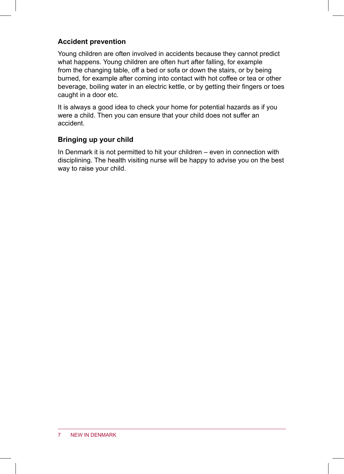#### **Accident prevention**

Young children are often involved in accidents because they cannot predict what happens. Young children are often hurt after falling, for example from the changing table, off a bed or sofa or down the stairs, or by being burned, for example after coming into contact with hot coffee or tea or other beverage, boiling water in an electric kettle, or by getting their fingers or toes caught in a door etc.

It is always a good idea to check your home for potential hazards as if you were a child. Then you can ensure that your child does not suffer an accident.

#### **Bringing up your child**

In Denmark it is not permitted to hit your children – even in connection with disciplining. The health visiting nurse will be happy to advise you on the best way to raise your child.